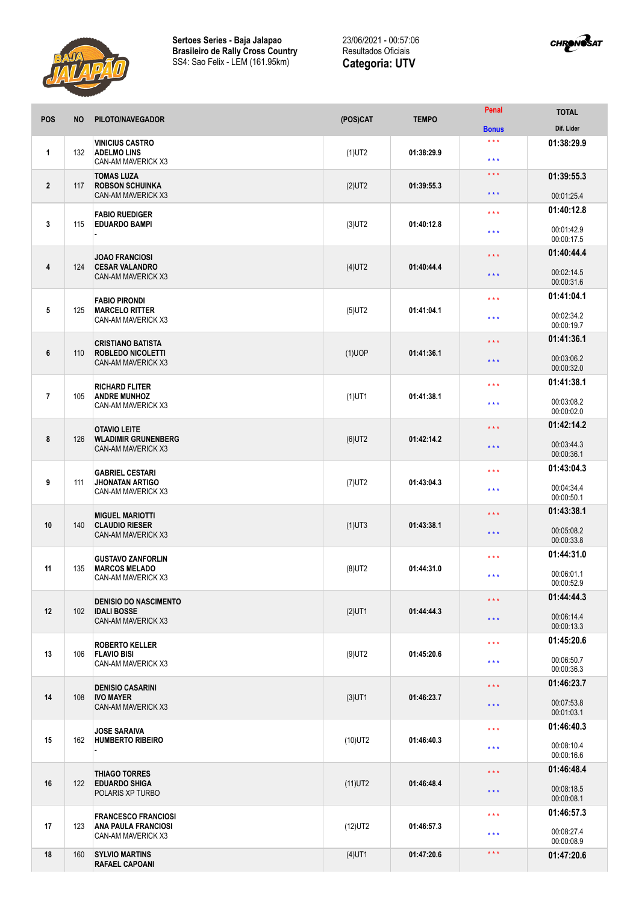



| <b>POS</b>     | <b>NO</b> | PILOTO/NAVEGADOR                                                               | (POS)CAT   | <b>TEMPO</b> | <b>Penal</b>            | <b>TOTAL</b>             |
|----------------|-----------|--------------------------------------------------------------------------------|------------|--------------|-------------------------|--------------------------|
|                |           |                                                                                |            |              | <b>Bonus</b>            | Dif. Lider               |
| $\mathbf{1}$   | 132       | <b>VINICIUS CASTRO</b><br><b>ADELMO LINS</b><br>CAN-AM MAVERICK X3             | $(1)$ UT2  | 01:38:29.9   | $***$<br>$***$          | 01:38:29.9               |
|                |           | <b>TOMAS LUZA</b><br><b>ROBSON SCHUINKA</b><br>CAN-AM MAVERICK X3              | $(2)$ UT2  | 01:39:55.3   | $\star$ $\star$ $\star$ | 01:39:55.3               |
| $\overline{2}$ | 117       |                                                                                |            |              | $***$                   | 00:01:25.4               |
|                |           | <b>FABIO RUEDIGER</b><br><b>EDUARDO BAMPI</b>                                  | $(3)$ UT2  | 01:40:12.8   | $***$                   | 01:40:12.8               |
| 3              | 115       |                                                                                |            |              | $***$                   | 00:01:42.9<br>00:00:17.5 |
|                | 124       | <b>JOAO FRANCIOSI</b><br><b>CESAR VALANDRO</b><br>CAN-AM MAVERICK X3           | $(4)$ UT2  | 01:40:44.4   | $\star$ $\star$ $\star$ | 01:40:44.4               |
| 4              |           |                                                                                |            |              | $***$                   | 00:02:14.5<br>00:00:31.6 |
|                |           | <b>FABIO PIRONDI</b><br><b>MARCELO RITTER</b><br>CAN-AM MAVERICK X3            | $(5)$ UT2  | 01:41:04.1   | $***$                   | 01:41:04.1               |
| 5              | 125       |                                                                                |            |              | $***$                   | 00:02:34.2<br>00:00:19.7 |
|                |           | <b>CRISTIANO BATISTA</b>                                                       |            |              | $***$                   | 01:41:36.1               |
| 6              | 110       | <b>ROBLEDO NICOLETTI</b><br><b>CAN-AM MAVERICK X3</b>                          | $(1)$ UOP  | 01:41:36.1   | $***$                   | 00:03:06.2<br>00:00:32.0 |
|                |           | <b>RICHARD FLITER</b><br><b>ANDRE MUNHOZ</b><br>CAN-AM MAVERICK X3             |            |              | $***$                   | 01:41:38.1               |
| $\overline{7}$ | 105       |                                                                                | $(1)$ UT1  | 01:41:38.1   | $***$                   | 00:03:08.2<br>00:00:02.0 |
|                |           | <b>OTAVIO LEITE</b>                                                            |            |              | $\star$ $\star$ $\star$ | 01:42:14.2               |
| 8              | 126       | <b>WLADIMIR GRUNENBERG</b><br>CAN-AM MAVERICK X3                               | $(6)$ UT2  | 01:42:14.2   | $***$                   | 00:03:44.3<br>00:00:36.1 |
|                |           | <b>GABRIEL CESTARI</b><br><b>JHONATAN ARTIGO</b><br>CAN-AM MAVERICK X3         |            |              | $***$                   | 01:43:04.3               |
| 9              | 111       |                                                                                | $(7)$ UT2  | 01:43:04.3   | $***$                   | 00:04:34.4<br>00:00:50.1 |
|                | 140       | <b>MIGUEL MARIOTTI</b><br><b>CLAUDIO RIESER</b><br>CAN-AM MAVERICK X3          | $(1)$ UT3  | 01:43:38.1   | $***$                   | 01:43:38.1               |
| 10             |           |                                                                                |            |              | $***$                   | 00:05:08.2<br>00:00:33.8 |
|                |           | <b>GUSTAVO ZANFORLIN</b>                                                       |            | 01:44:31.0   | $***$                   | 01:44:31.0               |
| 11             | 135       | <b>MARCOS MELADO</b><br>CAN-AM MAVERICK X3                                     | $(8)$ UT2  |              | $\star$ $\star$ $\star$ | 00:06:01.1<br>00:00:52.9 |
|                | 102       | <b>DENISIO DO NASCIMENTO</b><br><b>IDALI BOSSE</b><br>CAN-AM MAVERICK X3       | $(2)$ UT1  | 01:44:44.3   | $\star$ $\star$ $\star$ | 01:44:44.3               |
| 12             |           |                                                                                |            |              | $***$                   | 00:06:14.4<br>00:00:13.3 |
|                | 106       | <b>ROBERTO KELLER</b><br><b>FLAVIO BISI</b><br>CAN-AM MAVERICK X3              |            | 01:45:20.6   | $\star \star \star$     | 01:45:20.6               |
| 13             |           |                                                                                | $(9)$ UT2  |              | $***$                   | 00:06:50.7<br>00:00:36.3 |
|                | 108       | <b>DENISIO CASARINI</b><br><b>IVO MAYER</b><br>CAN-AM MAVERICK X3              | $(3)$ UT1  | 01:46:23.7   | $***$                   | 01:46:23.7               |
| 14             |           |                                                                                |            |              | $***$                   | 00:07:53.8<br>00:01:03.1 |
|                | 162       | <b>JOSE SARAIVA</b><br><b>HUMBERTO RIBEIRO</b>                                 | $(10)$ UT2 | 01:46:40.3   | $***$                   | 01:46:40.3               |
| 15             |           |                                                                                |            |              | $***$                   | 00:08:10.4<br>00:00:16.6 |
| 16             | 122       | <b>THIAGO TORRES</b><br><b>EDUARDO SHIGA</b><br>POLARIS XP TURBO               | $(11)$ UT2 | 01:46:48.4   | $\star$ $\star$ $\star$ | 01:46:48.4               |
|                |           |                                                                                |            |              | $***$                   | 00:08:18.5<br>00:00:08.1 |
|                |           | <b>FRANCESCO FRANCIOSI</b><br><b>ANA PAULA FRANCIOSI</b><br>CAN-AM MAVERICK X3 | $(12)$ UT2 | 01:46:57.3   | $***$                   | 01:46:57.3               |
| 17             | 123       |                                                                                |            |              | $***$                   | 00:08:27.4<br>00:00:08.9 |
| 18             | 160       | <b>SYLVIO MARTINS</b><br><b>RAFAEL CAPOANI</b>                                 | $(4)$ UT1  | 01:47:20.6   | $\star$ $\star$ $\star$ | 01:47:20.6               |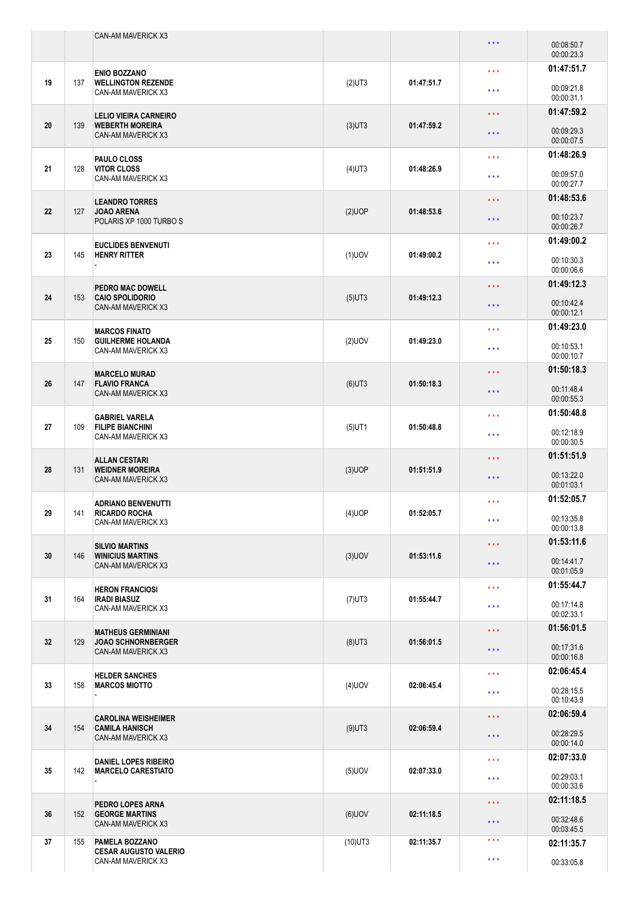|    |            | <b>CAN-AM MAVERICK X3</b>                                                                                                   |                         |                          | $***$                                              | 00:08:50.7<br>00:00:23.3 |
|----|------------|-----------------------------------------------------------------------------------------------------------------------------|-------------------------|--------------------------|----------------------------------------------------|--------------------------|
| 19 | 137        | <b>ENIO BOZZANO</b><br><b>WELLINGTON REZENDE</b><br>CAN-AM MAVERICK X3                                                      | $(2)$ UT3               | 01:47:51.7               | $\star$ $\star$ $\star$<br>$* * *$                 | 01:47:51.7<br>00:09:21.8 |
|    |            | <b>LELIO VIEIRA CARNEIRO</b>                                                                                                |                         |                          | $\star$ $\star$ $\star$                            | 00:00:31.1<br>01:47:59.2 |
| 20 | 139        | <b>WEBERTH MOREIRA</b><br><b>CAN-AM MAVERICK X3</b>                                                                         | $(3)$ UT3               | 01:47:59.2               | $***$                                              | 00:09:29.3<br>00:00:07.5 |
| 21 |            | <b>PAULO CLOSS</b><br><b>VITOR CLOSS</b>                                                                                    |                         | 01:48:26.9               | $\star$ $\star$ $\star$                            | 01:48:26.9               |
|    | 128        | CAN-AM MAVERICK X3                                                                                                          | $(4)$ UT3               |                          | $\star$ $\star$ $\star$                            | 00:09:57.0<br>00:00:27.7 |
| 22 | 127        | <b>LEANDRO TORRES</b><br><b>JOAO ARENA</b>                                                                                  | $(2)$ UOP               | 01:48:53.6               | $* * *$                                            | 01:48:53.6               |
|    |            | POLARIS XP 1000 TURBO S                                                                                                     |                         |                          | $***$                                              | 00:10:23.7<br>00:00:26.7 |
| 23 | 145        | <b>EUCLIDES BENVENUTI</b><br><b>HENRY RITTER</b><br><b>PEDRO MAC DOWELL</b><br><b>CAIO SPOLIDORIO</b><br>CAN-AM MAVERICK X3 | $(1)$ UOV               | 01:49:00.2               | $\star$ $\star$ $\star$<br>$***$                   | 01:49:00.2<br>00:10:30.3 |
|    |            |                                                                                                                             |                         |                          | $\star$ $\star$ $\star$                            | 00:00:06.6<br>01:49:12.3 |
| 24 | 153        |                                                                                                                             | $(5)$ UT3               | 01:49:12.3               | $***$                                              | 00:10:42.4<br>00:00:12.1 |
|    |            | <b>MARCOS FINATO</b>                                                                                                        |                         |                          | $\star$ $\star$ $\star$                            | 01:49:23.0               |
| 25 | 150        | <b>GUILHERME HOLANDA</b><br>CAN-AM MAVERICK X3                                                                              | $(2)$ UOV               | 01:49:23.0               | $***$                                              | 00:10:53.1<br>00:00:10.7 |
| 26 | 147        | <b>MARCELO MURAD</b><br><b>FLAVIO FRANCA</b><br>CAN-AM MAVERICK X3                                                          |                         | 01:50:18.3               | $\star$ $\star$ $\star$                            | 01:50:18.3               |
|    |            |                                                                                                                             | $(6)$ UT3               |                          | $\star$ $\star$ $\star$                            | 00:11:48.4<br>00:00:55.3 |
| 27 | 109        | <b>GABRIEL VARELA</b><br><b>FILIPE BIANCHINI</b><br>CAN-AM MAVERICK X3                                                      | $(5)$ UT1               | 01:50:48.8               | $\star$ $\star$ $\star$                            | 01:50:48.8               |
|    |            |                                                                                                                             |                         |                          | $***$                                              | 00:12:18.9<br>00:00:30.5 |
| 28 | 131        | <b>ALLAN CESTARI</b><br><b>WEIDNER MOREIRA</b><br><b>CAN-AM MAVERICK X3</b>                                                 | $(3)$ UOP               | 01:51:51.9               | $***$                                              | 01:51:51.9               |
|    |            |                                                                                                                             |                         |                          | $***$                                              | 00:13:22.0<br>00:01:03.1 |
| 29 | 141        | <b>ADRIANO BENVENUTTI</b><br><b>RICARDO ROCHA</b><br>CAN-AM MAVERICK X3                                                     | $(4)$ UOP               | 01:52:05.7               | $***$                                              | 01:52:05.7<br>00:13:35.8 |
|    |            |                                                                                                                             |                         |                          | $\star$ $\star$ $\star$                            | 00:00:13.8               |
| 30 | 146        | <b>SILVIO MARTINS</b><br><b>WINICIUS MARTINS</b><br>CAN-AM MAVERICK X3                                                      | $(3)$ UOV               | 01:53:11.6               | $\star$ $\star$ $\star$                            | 01:53:11.6<br>00:14:41.7 |
|    |            |                                                                                                                             |                         |                          | $\star$ $\star$ $\star$                            | 00:01:05.9<br>01:55:44.7 |
| 31 | 164        | <b>HERON FRANCIOSI</b><br><b>IRADI BIASUZ</b>                                                                               | $(7)$ UT3               | 01:55:44.7               | $\star$ $\star$ $\star$<br>$\star$ $\star$ $\star$ | 00:17:14.8               |
|    |            | CAN-AM MAVERICK X3                                                                                                          |                         |                          |                                                    | 00:02:33.1<br>01:56:01.5 |
| 32 | 129        | <b>MATHEUS GERMINIANI</b><br><b>JOAO SCHNORNBERGER</b><br><b>CAN-AM MAVERICK X3</b>                                         | $(8)$ UT3               | 01:56:01.5               | $\star$ $\star$ $\star$<br>$***$                   | 00:17:31.6               |
|    |            | <b>HELDER SANCHES</b><br><b>MARCOS MIOTTO</b>                                                                               | $(4)$ UOV               |                          | $\star$ $\star$ $\star$                            | 00:00:16.8<br>02:06:45.4 |
| 33 | 158        |                                                                                                                             |                         | 02:06:45.4               | $***$                                              | 00:28:15.5<br>00:10:43.9 |
|    | 154        | <b>CAROLINA WEISHEIMER</b><br><b>CAMILA HANISCH</b><br>CAN-AM MAVERICK X3                                                   | $(9)$ UT3               | 02:06:59.4               | $\star$ $\star$ $\star$                            | 02:06:59.4               |
| 34 |            |                                                                                                                             |                         |                          | $\star$ $\star$ $\star$                            | 00:28:29.5<br>00:00:14.0 |
| 35 | 142        | <b>DANIEL LOPES RIBEIRO</b><br><b>MARCELO CARESTIATO</b>                                                                    | $(5)$ UOV               | 02:07:33.0               | $* * *$                                            | 02:07:33.0               |
|    |            |                                                                                                                             |                         |                          | $\star$ $\star$ $\star$                            | 00:29:03.1<br>00:00:33.6 |
| 36 | 152<br>155 | PEDRO LOPES ARNA<br><b>GEORGE MARTINS</b><br>CAN-AM MAVERICK X3<br>PAMELA BOZZANO<br><b>CESAR AUGUSTO VALERIO</b>           | $(6)$ UOV<br>$(10)$ UT3 | 02:11:18.5<br>02:11:35.7 | $\star$ $\star$ $\star$                            | 02:11:18.5               |
|    |            |                                                                                                                             |                         |                          | $***$                                              | 00:32:48.6<br>00:03:45.5 |
| 37 |            |                                                                                                                             |                         |                          | $\star$ $\star$ $\star$                            | 02:11:35.7               |
|    |            | CAN-AM MAVERICK X3                                                                                                          |                         |                          | $\star$ $\star$ $\star$                            | 00:33:05.8               |